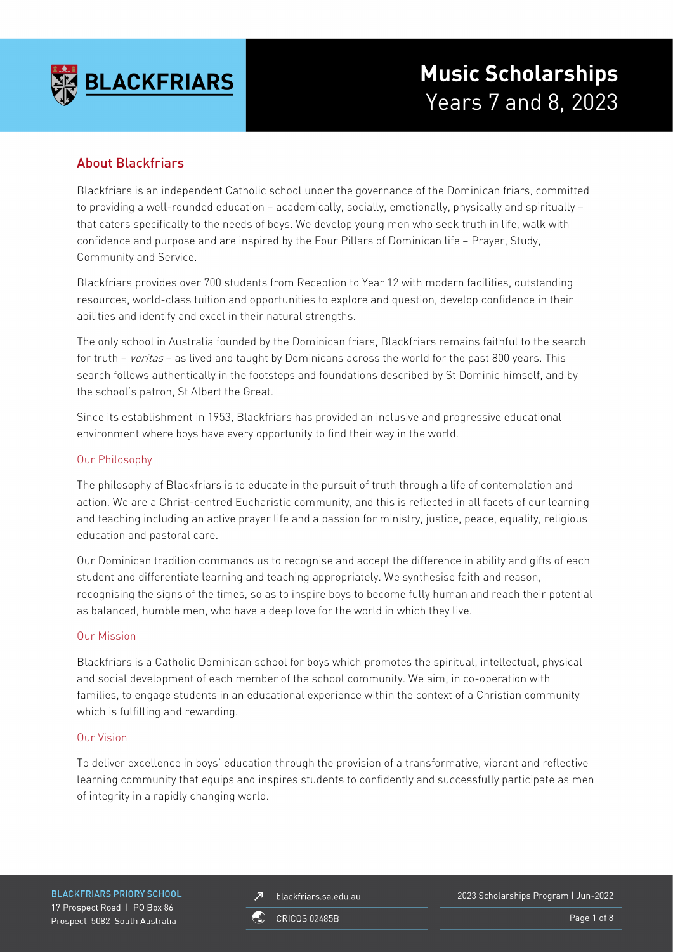

## About Blackfriars

Blackfriars is an independent Catholic school under the governance of the Dominican friars, committed to providing a well-rounded education – academically, socially, emotionally, physically and spiritually – that caters specifically to the needs of boys. We develop young men who seek truth in life, walk with confidence and purpose and are inspired by the Four Pillars of Dominican life – Prayer, Study, Community and Service.

Blackfriars provides over 700 students from Reception to Year 12 with modern facilities, outstanding resources, world-class tuition and opportunities to explore and question, develop confidence in their abilities and identify and excel in their natural strengths.

The only school in Australia founded by the Dominican friars, Blackfriars remains faithful to the search for truth – veritas – as lived and taught by Dominicans across the world for the past 800 years. This search follows authentically in the footsteps and foundations described by St Dominic himself, and by the school's patron, St Albert the Great.

Since its establishment in 1953, Blackfriars has provided an inclusive and progressive educational environment where boys have every opportunity to find their way in the world.

### Our Philosophy

The philosophy of Blackfriars is to educate in the pursuit of truth through a life of contemplation and action. We are a Christ-centred Eucharistic community, and this is reflected in all facets of our learning and teaching including an active prayer life and a passion for ministry, justice, peace, equality, religious education and pastoral care.

Our Dominican tradition commands us to recognise and accept the difference in ability and gifts of each student and differentiate learning and teaching appropriately. We synthesise faith and reason, recognising the signs of the times, so as to inspire boys to become fully human and reach their potential as balanced, humble men, who have a deep love for the world in which they live.

### Our Mission

Blackfriars is a Catholic Dominican school for boys which promotes the spiritual, intellectual, physical and social development of each member of the school community. We aim, in co-operation with families, to engage students in an educational experience within the context of a Christian community which is fulfilling and rewarding.

### Our Vision

To deliver excellence in boys' education through the provision of a transformative, vibrant and reflective learning community that equips and inspires students to confidently and successfully participate as men of integrity in a rapidly changing world.

**BLACKFRIARS PRIORY SCHOOL** 17 Prospect Road | PO Box 86 Prospect 5082 South Australia

blackfriars.sa.edu.au  $\overline{\mathbf{z}}$ 

2023 Scholarships Program | Jun-2022

**CRICOS 02485B** 

Page 1 of 8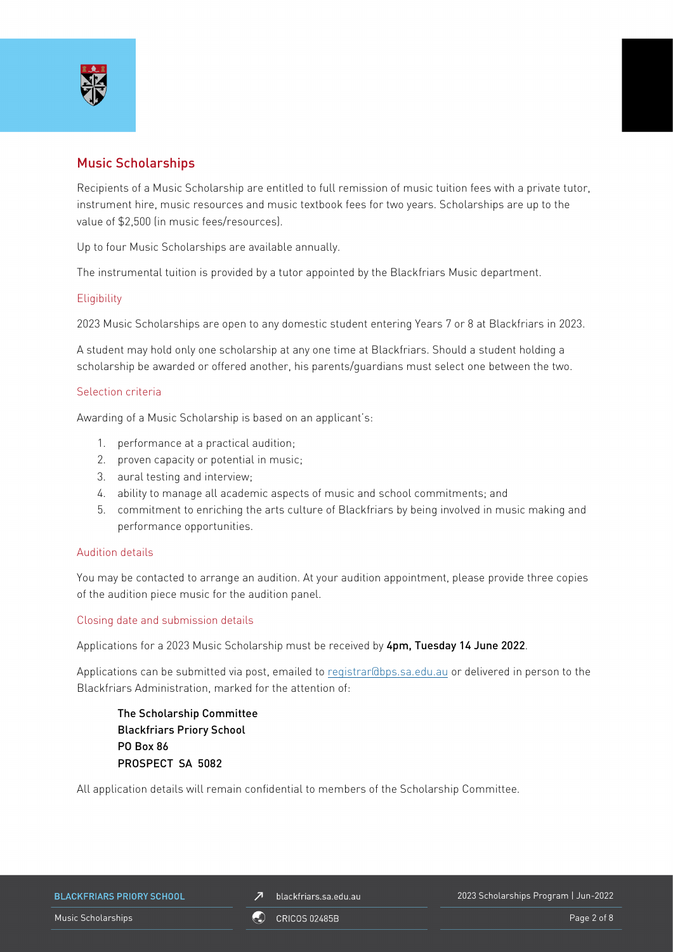

## Music Scholarships

Recipients of a Music Scholarship are entitled to full remission of music tuition fees with a private tutor, instrument hire, music resources and music textbook fees for two years. Scholarships are up to the value of \$2,500 (in music fees/resources).

Up to four Music Scholarships are available annually.

The instrumental tuition is provided by a tutor appointed by the Blackfriars Music department.

### **Eligibility**

2023 Music Scholarships are open to any domestic student entering Years 7 or 8 at Blackfriars in 2023.

A student may hold only one scholarship at any one time at Blackfriars. Should a student holding a scholarship be awarded or offered another, his parents/guardians must select one between the two.

### Selection criteria

Awarding of a Music Scholarship is based on an applicant's:

- 1. performance at a practical audition;
- 2. proven capacity or potential in music;
- 3. aural testing and interview;
- 4. ability to manage all academic aspects of music and school commitments; and
- 5. commitment to enriching the arts culture of Blackfriars by being involved in music making and performance opportunities.

#### Audition details

You may be contacted to arrange an audition. At your audition appointment, please provide three copies of the audition piece music for the audition panel.

### Closing date and submission details

Applications for a 2023 Music Scholarship must be received by 4pm, Tuesday 14 June 2022.

Applications can be submitted via post, emailed to [registrar@bps.sa.edu.au](mailto:registrar@bps.sa.edu.au) or delivered in person to the Blackfriars Administration, marked for the attention of:

The Scholarship Committee Blackfriars Priory School PO Box 86 PROSPECT SA 5082

All application details will remain confidential to members of the Scholarship Committee.

|  | <b>BLACKFRIARS PRIORY SCHOOL</b> |  |  |  |
|--|----------------------------------|--|--|--|
|--|----------------------------------|--|--|--|

 $\n *J*\n blackfriars.sa.edu.au\n$ 

Music Scholarships **Page 2 of 8** ORICOS 02485B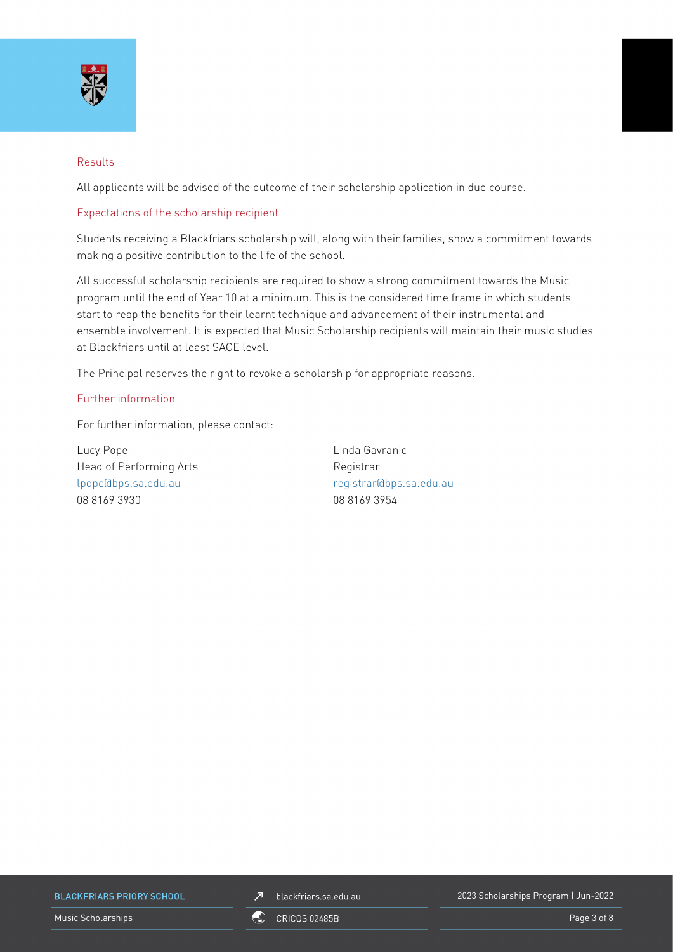

### Results

All applicants will be advised of the outcome of their scholarship application in due course.

### Expectations of the scholarship recipient

Students receiving a Blackfriars scholarship will, along with their families, show a commitment towards making a positive contribution to the life of the school.

All successful scholarship recipients are required to show a strong commitment towards the Music program until the end of Year 10 at a minimum. This is the considered time frame in which students start to reap the benefits for their learnt technique and advancement of their instrumental and ensemble involvement. It is expected that Music Scholarship recipients will maintain their music studies at Blackfriars until at least SACE level.

The Principal reserves the right to revoke a scholarship for appropriate reasons.

### Further information

For further information, please contact:

Lucy Pope Linda Gavranic Head of Performing Arts **Registrar** Registrar 08 8169 3930 08 8169 3954

[lpope@bps.sa.edu.au](mailto:lpope@bps.sa.edu.au) [registrar@bps.sa.edu.au](mailto:registrar@bps.sa.edu.au)

**BLACKFRIARS PRIORY SCHOOL** 



2023 Scholarships Program | Jun-2022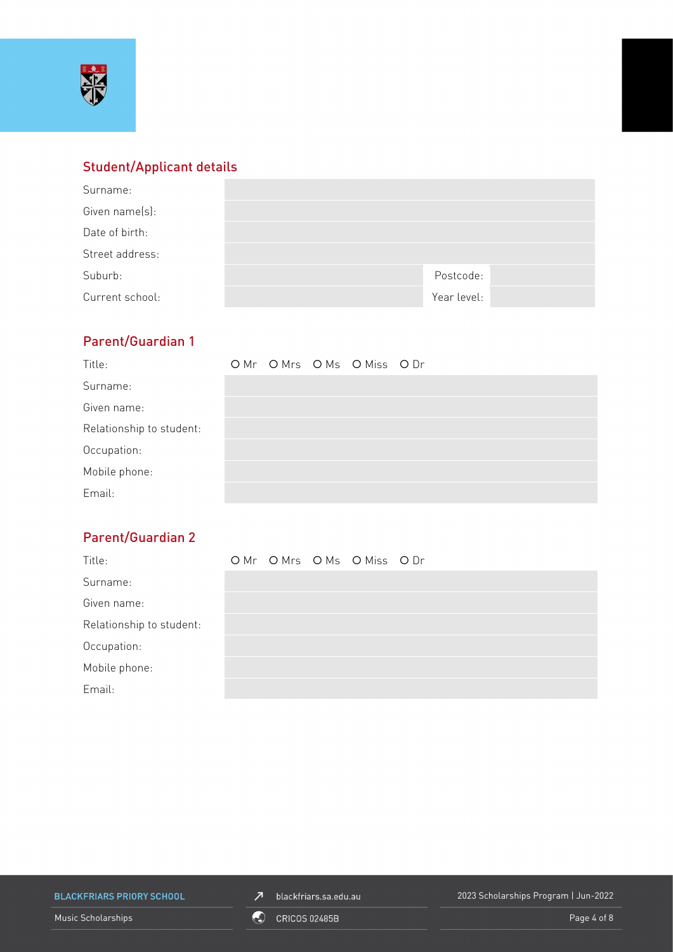

# Student/Applicant details

| Surname:        |             |  |
|-----------------|-------------|--|
| Given name(s):  |             |  |
| Date of birth:  |             |  |
| Street address: |             |  |
| Suburb:         | Postcode:   |  |
| Current school: | Year level: |  |

# Parent/Guardian 1

| Title:                   |  | OMr OMrs OMs OMiss ODr |  |
|--------------------------|--|------------------------|--|
| Surname:                 |  |                        |  |
| Given name:              |  |                        |  |
| Relationship to student: |  |                        |  |
| Occupation:              |  |                        |  |
| Mobile phone:            |  |                        |  |
| Email:                   |  |                        |  |

# Parent/Guardian 2

| Title:                   |  | OMr OMrs OMs OMiss ODr |  |
|--------------------------|--|------------------------|--|
| Surname:                 |  |                        |  |
| Given name:              |  |                        |  |
| Relationship to student: |  |                        |  |
| Occupation:              |  |                        |  |
| Mobile phone:            |  |                        |  |
| Email:                   |  |                        |  |

**BLACKFRIARS PRIORY SCHOOL** 

 $\n *J*\n blackfriars.sa.edu.au\n$ 

2023 Scholarships Program | Jun-2022

Music Scholarships **Page 4 of 8** CRICOS 02485B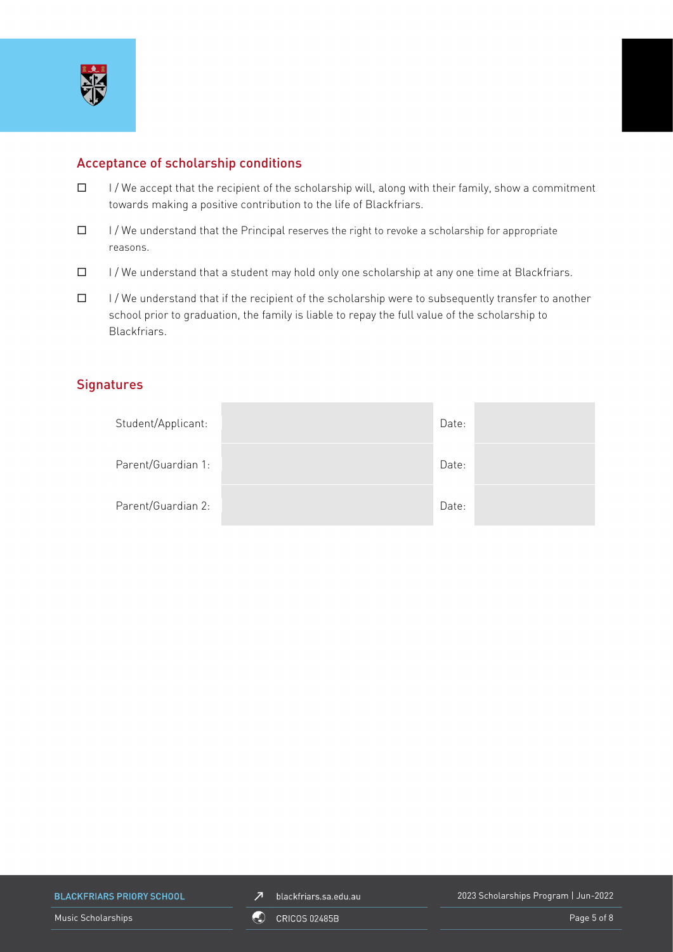

## Acceptance of scholarship conditions

- $\Box$  I/We accept that the recipient of the scholarship will, along with their family, show a commitment towards making a positive contribution to the life of Blackfriars.
- $\Box$  I/We understand that the Principal reserves the right to revoke a scholarship for appropriate reasons.
- $\Box$  I/We understand that a student may hold only one scholarship at any one time at Blackfriars.
- $\Box$  I/We understand that if the recipient of the scholarship were to subsequently transfer to another school prior to graduation, the family is liable to repay the full value of the scholarship to Blackfriars.

## **Signatures**

| Student/Applicant: | Date: |  |
|--------------------|-------|--|
| Parent/Guardian 1: | Date: |  |
| Parent/Guardian 2: | Date: |  |

**BLACKFRIARS PRIORY SCHOOL** 

2023 Scholarships Program | Jun-2022

Music Scholarships Page 5 of 8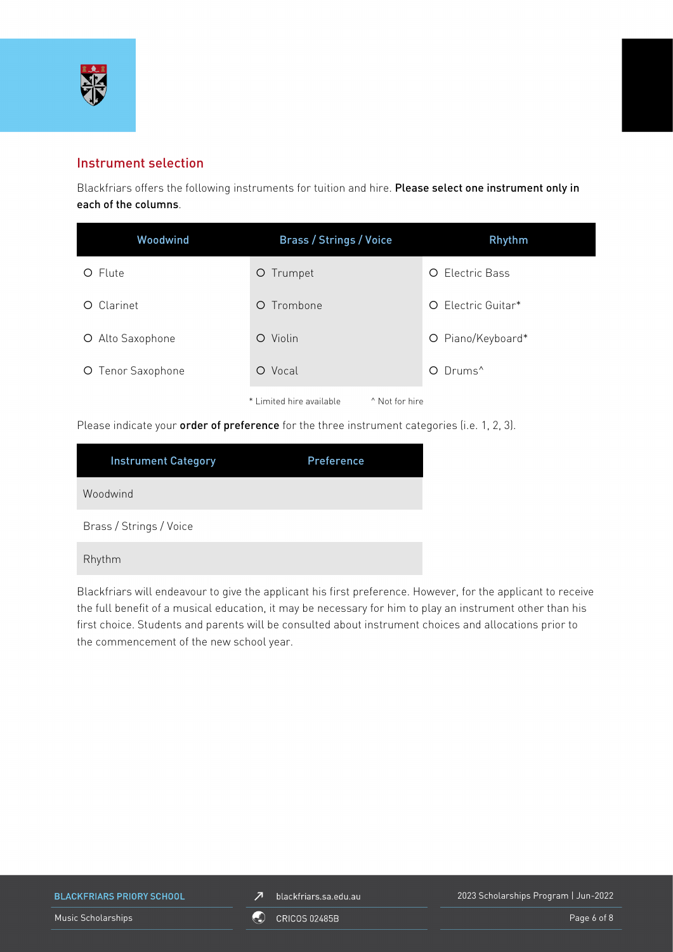

## Instrument selection

Blackfriars offers the following instruments for tuition and hire. Please select one instrument only in each of the columns.

| Woodwind          | <b>Brass / Strings / Voice</b>                        | Rhythm                 |
|-------------------|-------------------------------------------------------|------------------------|
| O Flute           | O Trumpet                                             | <b>O</b> Electric Bass |
| Clarinet<br>O.    | Trombone<br>$\circ$                                   | O Electric Guitar*     |
| O Alto Saxophone  | Violin<br>$\circ$                                     | O Piano/Keyboard*      |
| O Tenor Saxophone | O Vocal                                               | O Drums <sup>^</sup>   |
|                   | * Limited hire available<br><sup>^</sup> Not for hire |                        |

Please indicate your order of preference for the three instrument categories (i.e. 1, 2, 3).

| <b>Instrument Category</b> | Preference |
|----------------------------|------------|
| Woodwind                   |            |
| Brass / Strings / Voice    |            |
| Rhythm                     |            |

Blackfriars will endeavour to give the applicant his first preference. However, for the applicant to receive the full benefit of a musical education, it may be necessary for him to play an instrument other than his first choice. Students and parents will be consulted about instrument choices and allocations prior to the commencement of the new school year.

**BLACKFRIARS PRIORY SCHOOL** 

 $Z$  blackfriars.sa.edu.au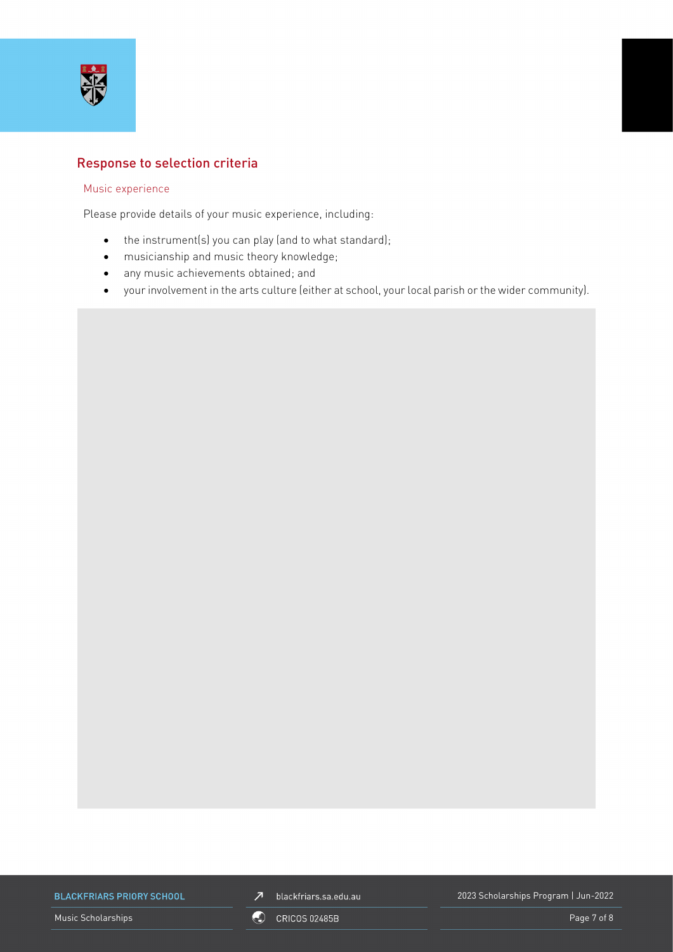

## Response to selection criteria

### Music experience

Please provide details of your music experience, including:

- the instrument(s) you can play (and to what standard);
- musicianship and music theory knowledge;
- any music achievements obtained; and
- your involvement in the arts culture (either at school, your local parish or the wider community).

**BLACKFRIARS PRIORY SCHOOL** 



2023 Scholarships Program | Jun-2022